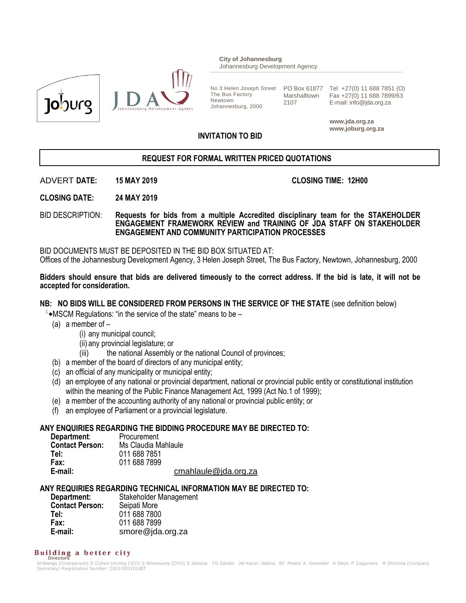



**City of Johannesburg** Johannesburg Development Agency

The Bus Factory Newtown Johannesburg, 2000

Marshalltown 2107

No 3 Helen Joseph Street PO Box 61877 Tel +27(0) 11 688 7851 (O) Fax +27(0) 11 688 7899/63 E-mail: info@jda.org.za

> **www.jda.org.za www.joburg.org.za**

#### **INVITATION TO BID**

# **REQUEST FOR FORMAL WRITTEN PRICED QUOTATIONS**

ADVERT **DATE: 15 MAY 2019 CLOSING TIME: 12H00**

**CLOSING DATE: 24 MAY 2019**

BID DESCRIPTION: **Requests for bids from a multiple Accredited disciplinary team for the STAKEHOLDER ENGAGEMENT FRAMEWORK REVIEW and TRAINING OF JDA STAFF ON STAKEHOLDER ENGAGEMENT AND COMMUNITY PARTICIPATION PROCESSES**

BID DOCUMENTS MUST BE DEPOSITED IN THE BID BOX SITUATED AT: Offices of the Johannesburg Development Agency, 3 Helen Joseph Street, The Bus Factory, Newtown, Johannesburg, 2000

**Bidders should ensure that bids are delivered timeously to the correct address. If the bid is late, it will not be accepted for consideration.**

#### **NB: NO BIDS WILL BE CONSIDERED FROM PERSONS IN THE SERVICE OF THE STATE** (see definition below)

 $1*$ MSCM Regulations: "in the service of the state" means to be  $-$ 

- (a) a member of
	- (i) any municipal council;
	- (ii) any provincial legislature; or
	- (iii) the national Assembly or the national Council of provinces;
- (b) a member of the board of directors of any municipal entity;
- (c) an official of any municipality or municipal entity;
- (d) an employee of any national or provincial department, national or provincial public entity or constitutional institution within the meaning of the Public Finance Management Act, 1999 (Act No.1 of 1999);
- (e) a member of the accounting authority of any national or provincial public entity; or
- (f) an employee of Parliament or a provincial legislature.

#### **ANY ENQUIRIES REGARDING THE BIDDING PROCEDURE MAY BE DIRECTED TO:**

| Department:            | Procurement          |
|------------------------|----------------------|
| <b>Contact Person:</b> | Ms Claudia Mahlaule  |
| Tel:                   | 011 688 7851         |
| Fax:                   | 011 688 7899         |
| E-mail:                | cmahlaule@jda.org.za |

**ANY REQUIRIES REGARDING TECHNICAL INFORMATION MAY BE DIRECTED TO:**

| Department:            | Stakeholder Management |
|------------------------|------------------------|
| <b>Contact Person:</b> | Seipati More           |
| Tel:                   | 011 688 7800           |
| Fax:                   | 011 688 7899           |
| E-mail:                | smore@jda.org.za       |
|                        |                        |

# **Building a better city**

M Ntanga (Chairperson) D Cohen (Acting CEO) S Moonsamy (CFO) S Jensma TG Sambo JW Karuri -Sebina EF Peters K Govender A Steyn P Zagaretos R Shirinda (Company Secretary) Registration Number: 2001/005101/07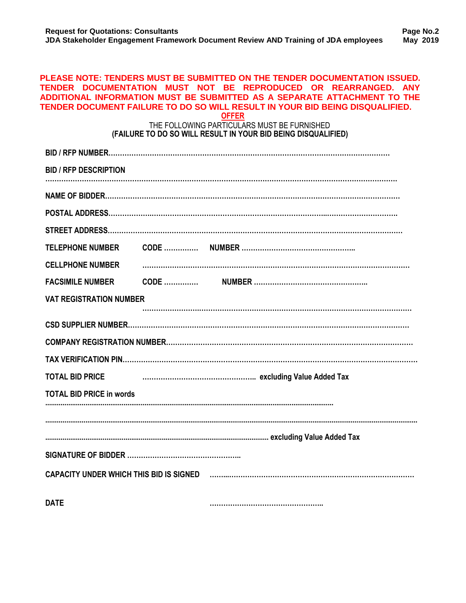#### **PLEASE NOTE: TENDERS MUST BE SUBMITTED ON THE TENDER DOCUMENTATION ISSUED. TENDER DOCUMENTATION MUST NOT BE REPRODUCED OR REARRANGED. ANY ADDITIONAL INFORMATION MUST BE SUBMITTED AS A SEPARATE ATTACHMENT TO THE TENDER DOCUMENT FAILURE TO DO SO WILL RESULT IN YOUR BID BEING DISQUALIFIED. OFFER**

# THE FOLLOWING PARTICULARS MUST BE FURNISHED **(FAILURE TO DO SO WILL RESULT IN YOUR BID BEING DISQUALIFIED)**

| <b>BID / RFP DESCRIPTION</b>    |  |
|---------------------------------|--|
|                                 |  |
|                                 |  |
|                                 |  |
|                                 |  |
| <b>CELLPHONE NUMBER</b>         |  |
| <b>FACSIMILE NUMBER</b>         |  |
| <b>VAT REGISTRATION NUMBER</b>  |  |
|                                 |  |
|                                 |  |
|                                 |  |
| <b>TOTAL BID PRICE</b>          |  |
| <b>TOTAL BID PRICE in words</b> |  |
|                                 |  |
|                                 |  |
|                                 |  |
|                                 |  |
|                                 |  |
| <b>DATE</b>                     |  |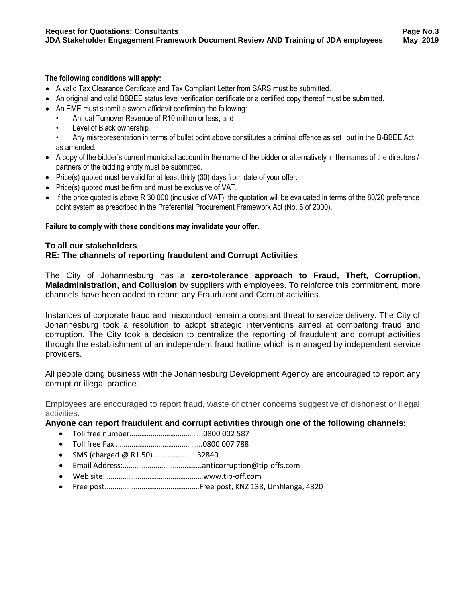- A valid Tax Clearance Certificate and Tax Compliant Letter from SARS must be submitted.
- An original and valid BBBEE status level verification certificate or a certified copy thereof must be submitted.
- An EME must submit a sworn affidavit confirming the following:
	- Annual Turnover Revenue of R10 million or less; and
	- Level of Black ownership

• Any misrepresentation in terms of bullet point above constitutes a criminal offence as set out in the B-BBEE Act as amended.

- A copy of the bidder's current municipal account in the name of the bidder or alternatively in the names of the directors / partners of the bidding entity must be submitted.
- Price(s) quoted must be valid for at least thirty (30) days from date of your offer.
- Price(s) quoted must be firm and must be exclusive of VAT.
- If the price quoted is above R 30 000 (inclusive of VAT), the quotation will be evaluated in terms of the 80/20 preference point system as prescribed in the Preferential Procurement Framework Act (No. 5 of 2000).

#### **Failure to comply with these conditions may invalidate your offer.**

#### **To all our stakeholders**

#### **RE: The channels of reporting fraudulent and Corrupt Activities**

The City of Johannesburg has a **zero-tolerance approach to Fraud, Theft, Corruption, Maladministration, and Collusion** by suppliers with employees. To reinforce this commitment, more channels have been added to report any Fraudulent and Corrupt activities.

Instances of corporate fraud and misconduct remain a constant threat to service delivery. The City of Johannesburg took a resolution to adopt strategic interventions aimed at combatting fraud and corruption. The City took a decision to centralize the reporting of fraudulent and corrupt activities through the establishment of an independent fraud hotline which is managed by independent service providers.

All people doing business with the Johannesburg Development Agency are encouraged to report any corrupt or illegal practice.

Employees are encouraged to report fraud, waste or other concerns suggestive of dishonest or illegal activities.

#### **Anyone can report fraudulent and corrupt activities through one of the following channels:**

- Toll free number………………………………..0800 002 587
- Toll free Fax ………………………………………0800 007 788
- SMS (charged @ R1.50)........................32840
- Email Address:…………………………………..anticorruption@tip-offs.com
- Web site:……………………………………………www.tip-off.com
- Free post:…………………………………………Free post, KNZ 138, Umhlanga, 4320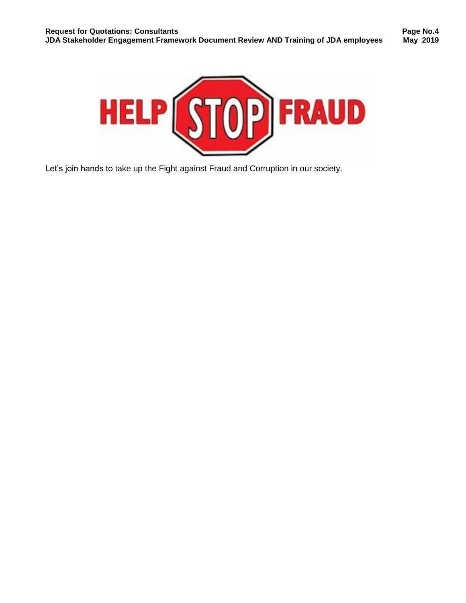

Let's join hands to take up the Fight against Fraud and Corruption in our society.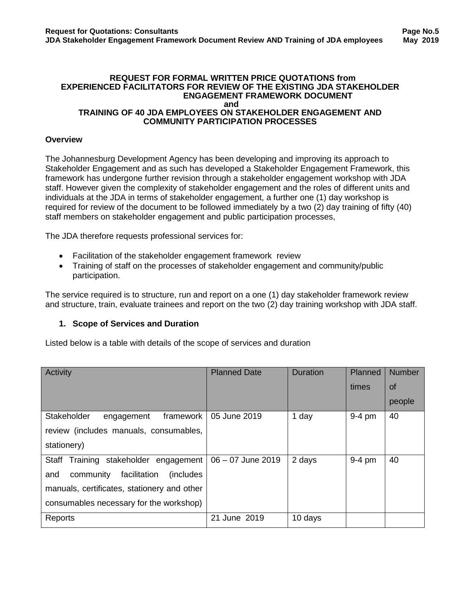#### **REQUEST FOR FORMAL WRITTEN PRICE QUOTATIONS from EXPERIENCED FACILITATORS FOR REVIEW OF THE EXISTING JDA STAKEHOLDER ENGAGEMENT FRAMEWORK DOCUMENT and TRAINING OF 40 JDA EMPLOYEES ON STAKEHOLDER ENGAGEMENT AND COMMUNITY PARTICIPATION PROCESSES**

#### **Overview**

The Johannesburg Development Agency has been developing and improving its approach to Stakeholder Engagement and as such has developed a Stakeholder Engagement Framework, this framework has undergone further revision through a stakeholder engagement workshop with JDA staff. However given the complexity of stakeholder engagement and the roles of different units and individuals at the JDA in terms of stakeholder engagement, a further one (1) day workshop is required for review of the document to be followed immediately by a two (2) day training of fifty (40) staff members on stakeholder engagement and public participation processes,

The JDA therefore requests professional services for:

- Facilitation of the stakeholder engagement framework review
- Training of staff on the processes of stakeholder engagement and community/public participation.

The service required is to structure, run and report on a one (1) day stakeholder framework review and structure, train, evaluate trainees and report on the two (2) day training workshop with JDA staff.

# **1. Scope of Services and Duration**

Listed below is a table with details of the scope of services and duration

| Activity                                       | <b>Planned Date</b> | <b>Duration</b> | Planned  | <b>Number</b> |
|------------------------------------------------|---------------------|-----------------|----------|---------------|
|                                                |                     |                 | times    | 0f            |
|                                                |                     |                 |          | people        |
| Stakeholder<br>framework<br>engagement         | 05 June 2019        | 1 day           | $9-4$ pm | 40            |
| review (includes manuals, consumables,         |                     |                 |          |               |
| stationery)                                    |                     |                 |          |               |
| Staff Training stakeholder engagement          | $06 - 07$ June 2019 | 2 days          | 9-4 pm   | 40            |
| facilitation<br>(includes)<br>community<br>and |                     |                 |          |               |
| manuals, certificates, stationery and other    |                     |                 |          |               |
| consumables necessary for the workshop)        |                     |                 |          |               |
| Reports                                        | 21 June 2019        | 10 days         |          |               |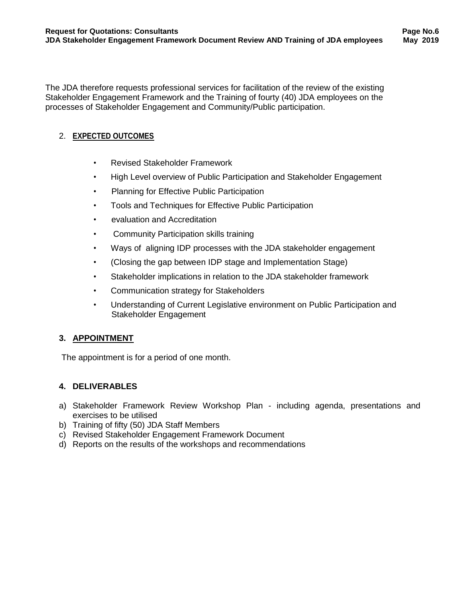The JDA therefore requests professional services for facilitation of the review of the existing Stakeholder Engagement Framework and the Training of fourty (40) JDA employees on the processes of Stakeholder Engagement and Community/Public participation.

# 2. **EXPECTED OUTCOMES**

- Revised Stakeholder Framework
- High Level overview of Public Participation and Stakeholder Engagement
- Planning for Effective Public Participation
- Tools and Techniques for Effective Public Participation
- evaluation and Accreditation
- Community Participation skills training
- Ways of aligning IDP processes with the JDA stakeholder engagement
- (Closing the gap between IDP stage and Implementation Stage)
- Stakeholder implications in relation to the JDA stakeholder framework
- Communication strategy for Stakeholders
- Understanding of Current Legislative environment on Public Participation and Stakeholder Engagement

# **3. APPOINTMENT**

The appointment is for a period of one month.

# **4. DELIVERABLES**

- a) Stakeholder Framework Review Workshop Plan including agenda, presentations and exercises to be utilised
- b) Training of fifty (50) JDA Staff Members
- c) Revised Stakeholder Engagement Framework Document
- d) Reports on the results of the workshops and recommendations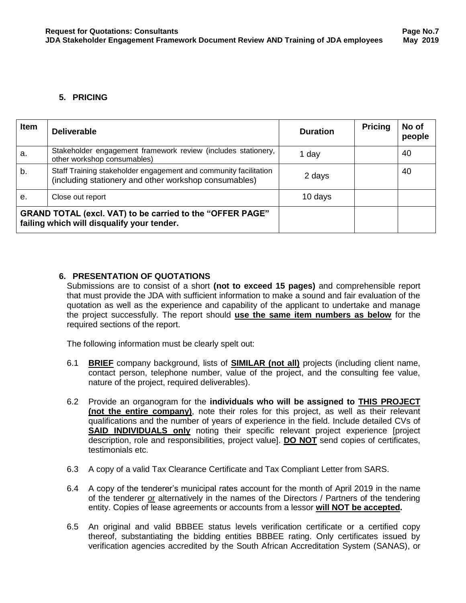# **5. PRICING**

| <b>Item</b> | <b>Deliverable</b>                                                                                                        | <b>Duration</b> | <b>Pricing</b> | No of<br>people |
|-------------|---------------------------------------------------------------------------------------------------------------------------|-----------------|----------------|-----------------|
| а.          | Stakeholder engagement framework review (includes stationery,<br>other workshop consumables)                              | 1 day           |                | 40              |
| b.          | Staff Training stakeholder engagement and community facilitation<br>(including stationery and other workshop consumables) | 2 days          |                | 40              |
| е.          | Close out report                                                                                                          | 10 days         |                |                 |
|             | <b>GRAND TOTAL (excl. VAT) to be carried to the "OFFER PAGE"</b><br>failing which will disqualify your tender.            |                 |                |                 |

# **6. PRESENTATION OF QUOTATIONS**

Submissions are to consist of a short **(not to exceed 15 pages)** and comprehensible report that must provide the JDA with sufficient information to make a sound and fair evaluation of the quotation as well as the experience and capability of the applicant to undertake and manage the project successfully. The report should **use the same item numbers as below** for the required sections of the report.

The following information must be clearly spelt out:

- 6.1 **BRIEF** company background, lists of **SIMILAR (not all)** projects (including client name, contact person, telephone number, value of the project, and the consulting fee value, nature of the project, required deliverables).
- 6.2 Provide an organogram for the **individuals who will be assigned to THIS PROJECT (not the entire company)**, note their roles for this project, as well as their relevant qualifications and the number of years of experience in the field. Include detailed CVs of **SAID INDIVIDUALS only** noting their specific relevant project experience [project description, role and responsibilities, project value]. **DO NOT** send copies of certificates, testimonials etc.
- 6.3 A copy of a valid Tax Clearance Certificate and Tax Compliant Letter from SARS.
- 6.4 A copy of the tenderer's municipal rates account for the month of April 2019 in the name of the tenderer or alternatively in the names of the Directors / Partners of the tendering entity. Copies of lease agreements or accounts from a lessor **will NOT be accepted.**
- 6.5 An original and valid BBBEE status levels verification certificate or a certified copy thereof, substantiating the bidding entities BBBEE rating. Only certificates issued by verification agencies accredited by the South African Accreditation System (SANAS), or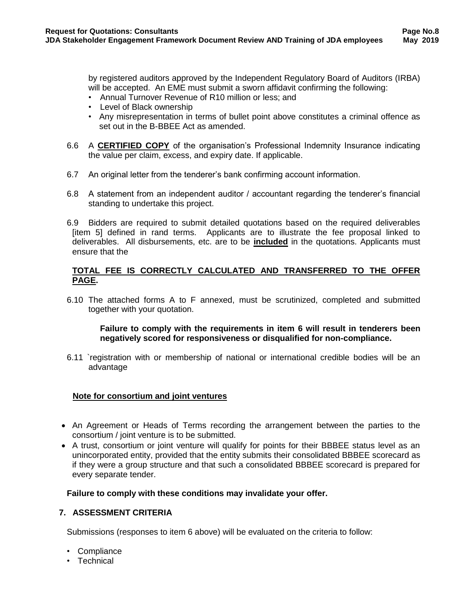by registered auditors approved by the Independent Regulatory Board of Auditors (IRBA) will be accepted. An EME must submit a sworn affidavit confirming the following:

- Annual Turnover Revenue of R10 million or less; and
- Level of Black ownership
- Any misrepresentation in terms of bullet point above constitutes a criminal offence as set out in the B-BBEE Act as amended.
- 6.6 A **CERTIFIED COPY** of the organisation's Professional Indemnity Insurance indicating the value per claim, excess, and expiry date. If applicable.
- 6.7 An original letter from the tenderer's bank confirming account information.
- 6.8 A statement from an independent auditor / accountant regarding the tenderer's financial standing to undertake this project.
- 6.9 Bidders are required to submit detailed quotations based on the required deliverables [item 5] defined in rand terms. Applicants are to illustrate the fee proposal linked to deliverables. All disbursements, etc. are to be **included** in the quotations. Applicants must ensure that the

# **TOTAL FEE IS CORRECTLY CALCULATED AND TRANSFERRED TO THE OFFER PAGE.**

6.10 The attached forms A to F annexed, must be scrutinized, completed and submitted together with your quotation.

#### **Failure to comply with the requirements in item 6 will result in tenderers been negatively scored for responsiveness or disqualified for non-compliance.**

6.11 `registration with or membership of national or international credible bodies will be an advantage

# **Note for consortium and joint ventures**

- An Agreement or Heads of Terms recording the arrangement between the parties to the consortium / joint venture is to be submitted.
- A trust, consortium or joint venture will qualify for points for their BBBEE status level as an unincorporated entity, provided that the entity submits their consolidated BBBEE scorecard as if they were a group structure and that such a consolidated BBBEE scorecard is prepared for every separate tender.

# **Failure to comply with these conditions may invalidate your offer.**

# **7. ASSESSMENT CRITERIA**

Submissions (responses to item 6 above) will be evaluated on the criteria to follow:

- Compliance
- Technical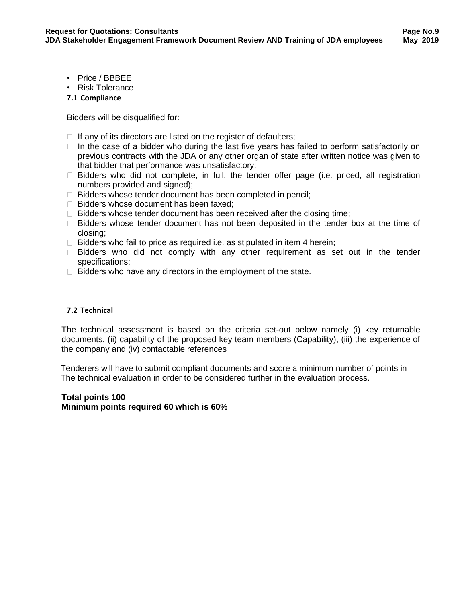- Price / BBBEE
- Risk Tolerance
- **7.1 Compliance**

Bidders will be disqualified for:

- $\Box$  If any of its directors are listed on the register of defaulters;
- $\Box$  In the case of a bidder who during the last five years has failed to perform satisfactorily on previous contracts with the JDA or any other organ of state after written notice was given to that bidder that performance was unsatisfactory;
- $\Box$  Bidders who did not complete, in full, the tender offer page (i.e. priced, all registration numbers provided and signed);
- $\Box$  Bidders whose tender document has been completed in pencil;
- $\Box$  Bidders whose document has been faxed;
- $\Box$  Bidders whose tender document has been received after the closing time;
- $\Box$  Bidders whose tender document has not been deposited in the tender box at the time of closing;
- $\Box$  Bidders who fail to price as required i.e. as stipulated in item 4 herein;
- $\Box$  Bidders who did not comply with any other requirement as set out in the tender specifications;
- $\Box$  Bidders who have any directors in the employment of the state.

#### **7.2 Technical**

The technical assessment is based on the criteria set-out below namely (i) key returnable documents, (ii) capability of the proposed key team members (Capability), (iii) the experience of the company and (iv) contactable references

 Tenderers will have to submit compliant documents and score a minimum number of points in The technical evaluation in order to be considered further in the evaluation process.

# **Total points 100**

 **Minimum points required 60 which is 60%**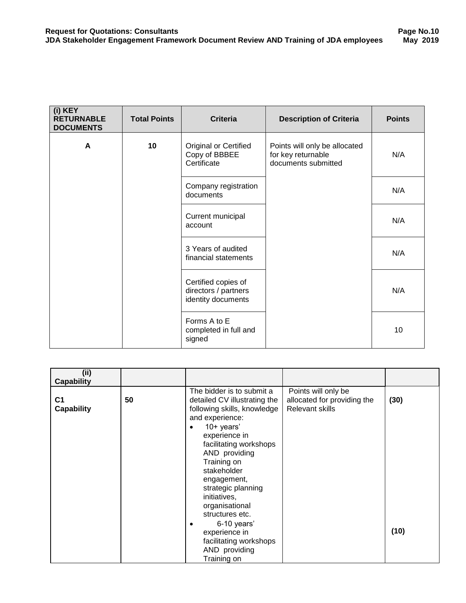| (i) KEY<br><b>RETURNABLE</b><br><b>DOCUMENTS</b> | <b>Total Points</b> | <b>Criteria</b>                                                   | <b>Description of Criteria</b>                                             | <b>Points</b> |
|--------------------------------------------------|---------------------|-------------------------------------------------------------------|----------------------------------------------------------------------------|---------------|
| A                                                | 10                  | <b>Original or Certified</b><br>Copy of BBBEE<br>Certificate      | Points will only be allocated<br>for key returnable<br>documents submitted | N/A           |
|                                                  |                     | Company registration<br>documents                                 |                                                                            | N/A           |
|                                                  |                     | Current municipal<br>account                                      |                                                                            | N/A           |
|                                                  |                     | 3 Years of audited<br>financial statements                        |                                                                            | N/A           |
|                                                  |                     | Certified copies of<br>directors / partners<br>identity documents |                                                                            | N/A           |
|                                                  |                     | Forms A to E<br>completed in full and<br>signed                   |                                                                            | 10            |

| (ii)<br><b>Capability</b>           |    |                                                                                                                                                                                                                                                                            |                                                                              |      |
|-------------------------------------|----|----------------------------------------------------------------------------------------------------------------------------------------------------------------------------------------------------------------------------------------------------------------------------|------------------------------------------------------------------------------|------|
| C <sub>1</sub><br><b>Capability</b> | 50 | The bidder is to submit a<br>detailed CV illustrating the<br>following skills, knowledge<br>and experience:<br>$10+$ years'<br>experience in<br>facilitating workshops<br>AND providing<br>Training on<br>stakeholder<br>engagement,<br>strategic planning<br>initiatives, | Points will only be<br>allocated for providing the<br><b>Relevant skills</b> | (30) |
|                                     |    | organisational<br>structures etc.<br>6-10 years'<br>experience in<br>facilitating workshops<br>AND providing<br>Training on                                                                                                                                                |                                                                              | (10) |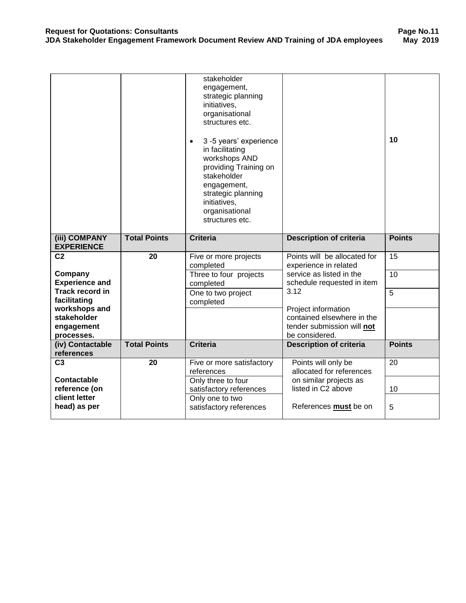|                                        |                     | stakeholder<br>engagement,<br>strategic planning<br>initiatives,<br>organisational<br>structures etc.<br>3-5 years' experience<br>$\bullet$<br>in facilitating<br>workshops AND<br>providing Training on<br>stakeholder<br>engagement,<br>strategic planning<br>initiatives,<br>organisational<br>structures etc. |                                                        | 10            |
|----------------------------------------|---------------------|-------------------------------------------------------------------------------------------------------------------------------------------------------------------------------------------------------------------------------------------------------------------------------------------------------------------|--------------------------------------------------------|---------------|
| (iii) COMPANY<br><b>EXPERIENCE</b>     | <b>Total Points</b> | <b>Criteria</b>                                                                                                                                                                                                                                                                                                   | <b>Description of criteria</b>                         | <b>Points</b> |
| C <sub>2</sub>                         | 20                  | Five or more projects<br>completed                                                                                                                                                                                                                                                                                | Points will be allocated for<br>experience in related  | 15            |
| Company<br><b>Experience and</b>       |                     | Three to four projects<br>completed                                                                                                                                                                                                                                                                               | service as listed in the<br>schedule requested in item | 10            |
| <b>Track record in</b><br>facilitating |                     | One to two project<br>completed                                                                                                                                                                                                                                                                                   | 3.12                                                   | 5             |
| workshops and<br>stakeholder           |                     |                                                                                                                                                                                                                                                                                                                   | Project information<br>contained elsewhere in the      |               |
| engagement<br>processes.               |                     |                                                                                                                                                                                                                                                                                                                   | tender submission will not<br>be considered.           |               |
| (iv) Contactable<br>references         | <b>Total Points</b> | <b>Criteria</b>                                                                                                                                                                                                                                                                                                   | <b>Description of criteria</b>                         | <b>Points</b> |
| C <sub>3</sub>                         | 20                  | Five or more satisfactory<br>references                                                                                                                                                                                                                                                                           | Points will only be<br>allocated for references        | 20            |
| Contactable<br>reference (on           |                     | Only three to four<br>satisfactory references                                                                                                                                                                                                                                                                     | on similar projects as<br>listed in C2 above           | 10            |
| client letter<br>head) as per          |                     | Only one to two<br>satisfactory references                                                                                                                                                                                                                                                                        | References <b>must</b> be on                           | 5             |
|                                        |                     |                                                                                                                                                                                                                                                                                                                   |                                                        |               |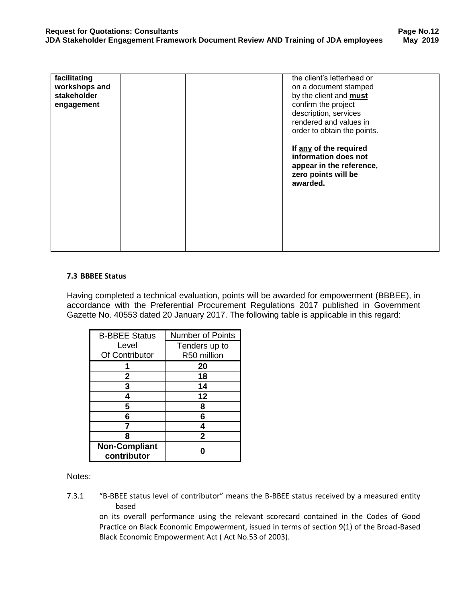| facilitating<br>workshops and<br>stakeholder<br>engagement |  | the client's letterhead or<br>on a document stamped<br>by the client and <b>must</b><br>confirm the project<br>description, services<br>rendered and values in<br>order to obtain the points. |  |
|------------------------------------------------------------|--|-----------------------------------------------------------------------------------------------------------------------------------------------------------------------------------------------|--|
|                                                            |  | If any of the required<br>information does not<br>appear in the reference,<br>zero points will be<br>awarded.                                                                                 |  |

#### **7.3 BBBEE Status**

Having completed a technical evaluation, points will be awarded for empowerment (BBBEE), in accordance with the Preferential Procurement Regulations 2017 published in Government Gazette No. 40553 dated 20 January 2017. The following table is applicable in this regard:

| <b>B-BBEE Status</b>                | <b>Number of Points</b> |
|-------------------------------------|-------------------------|
| Level                               | Tenders up to           |
| Of Contributor                      | R50 million             |
|                                     | 20                      |
| 2                                   | 18                      |
| 3                                   | 14                      |
|                                     | 12                      |
| 5                                   | 8                       |
| 6                                   | 6                       |
|                                     |                         |
| ឧ                                   | 2                       |
| <b>Non-Compliant</b><br>contributor |                         |

Notes:

7.3.1 "B-BBEE status level of contributor" means the B-BBEE status received by a measured entity based

on its overall performance using the relevant scorecard contained in the Codes of Good Practice on Black Economic Empowerment, issued in terms of section 9(1) of the Broad-Based Black Economic Empowerment Act ( Act No.53 of 2003).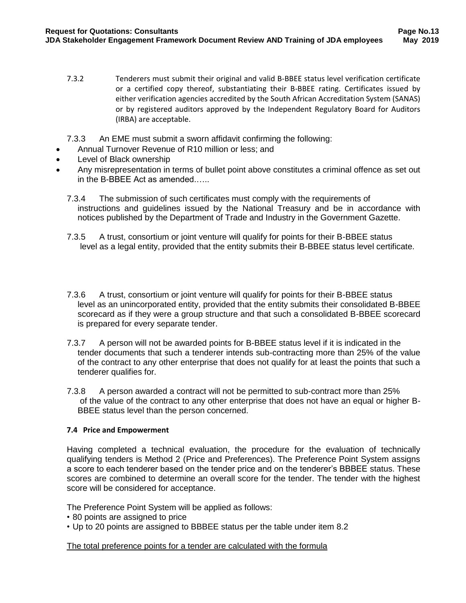- 7.3.2 Tenderers must submit their original and valid B-BBEE status level verification certificate or a certified copy thereof, substantiating their B-BBEE rating. Certificates issued by either verification agencies accredited by the South African Accreditation System (SANAS) or by registered auditors approved by the Independent Regulatory Board for Auditors (IRBA) are acceptable.
- 7.3.3 An EME must submit a sworn affidavit confirming the following:
- Annual Turnover Revenue of R10 million or less; and
- Level of Black ownership
- Any misrepresentation in terms of bullet point above constitutes a criminal offence as set out in the B-BBEE Act as amended.…..
	- 7.3.4 The submission of such certificates must comply with the requirements of instructions and guidelines issued by the National Treasury and be in accordance with notices published by the Department of Trade and Industry in the Government Gazette.
	- 7.3.5 A trust, consortium or joint venture will qualify for points for their B-BBEE status level as a legal entity, provided that the entity submits their B-BBEE status level certificate.
	- 7.3.6 A trust, consortium or joint venture will qualify for points for their B-BBEE status level as an unincorporated entity, provided that the entity submits their consolidated B-BBEE scorecard as if they were a group structure and that such a consolidated B-BBEE scorecard is prepared for every separate tender.
	- 7.3.7 A person will not be awarded points for B-BBEE status level if it is indicated in the tender documents that such a tenderer intends sub-contracting more than 25% of the value of the contract to any other enterprise that does not qualify for at least the points that such a tenderer qualifies for.
	- 7.3.8 A person awarded a contract will not be permitted to sub-contract more than 25% of the value of the contract to any other enterprise that does not have an equal or higher B-BBEE status level than the person concerned.

#### **7.4 Price and Empowerment**

Having completed a technical evaluation, the procedure for the evaluation of technically qualifying tenders is Method 2 (Price and Preferences). The Preference Point System assigns a score to each tenderer based on the tender price and on the tenderer's BBBEE status. These scores are combined to determine an overall score for the tender. The tender with the highest score will be considered for acceptance.

The Preference Point System will be applied as follows:

- 80 points are assigned to price
- Up to 20 points are assigned to BBBEE status per the table under item 8.2

#### The total preference points for a tender are calculated with the formula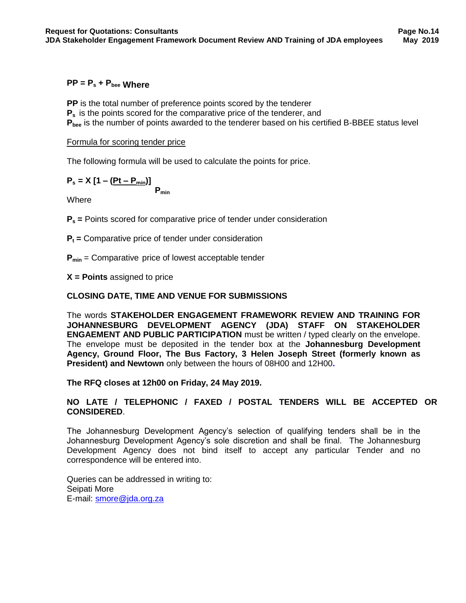# **PP = P<sup>s</sup> + Pbee Where**

**PP** is the total number of preference points scored by the tenderer **P<sup>s</sup>** is the points scored for the comparative price of the tenderer, and **Pbee** is the number of points awarded to the tenderer based on his certified B-BBEE status level

#### Formula for scoring tender price

The following formula will be used to calculate the points for price.

$$
P_s = X [1 - (Pt - P_{min})]
$$
  
P<sub>min</sub>

**Where** 

**P<sup>s</sup> =** Points scored for comparative price of tender under consideration

**P<sup>t</sup> =** Comparative price of tender under consideration

**Pmin** = Comparative price of lowest acceptable tender

**X = Points** assigned to price

#### **CLOSING DATE, TIME AND VENUE FOR SUBMISSIONS**

The words **STAKEHOLDER ENGAGEMENT FRAMEWORK REVIEW AND TRAINING FOR JOHANNESBURG DEVELOPMENT AGENCY (JDA) STAFF ON STAKEHOLDER ENGAEMENT AND PUBLIC PARTICIPATION** must be written / typed clearly on the envelope. The envelope must be deposited in the tender box at the **Johannesburg Development Agency, Ground Floor, The Bus Factory, 3 Helen Joseph Street (formerly known as President) and Newtown** only between the hours of 08H00 and 12H00**.** 

**The RFQ closes at 12h00 on Friday, 24 May 2019.**

### **NO LATE / TELEPHONIC / FAXED / POSTAL TENDERS WILL BE ACCEPTED OR CONSIDERED**.

The Johannesburg Development Agency's selection of qualifying tenders shall be in the Johannesburg Development Agency's sole discretion and shall be final. The Johannesburg Development Agency does not bind itself to accept any particular Tender and no correspondence will be entered into.

Queries can be addressed in writing to: Seipati More E-mail: [smore@jda.org.za](mailto:smore@jda.org.za)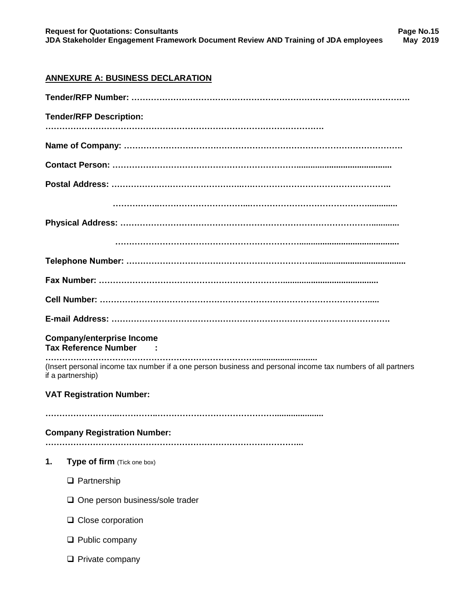# **ANNEXURE A: BUSINESS DECLARATION**

| <b>Tender/RFP Description:</b>                                                                                                   |
|----------------------------------------------------------------------------------------------------------------------------------|
|                                                                                                                                  |
|                                                                                                                                  |
|                                                                                                                                  |
|                                                                                                                                  |
|                                                                                                                                  |
|                                                                                                                                  |
|                                                                                                                                  |
|                                                                                                                                  |
|                                                                                                                                  |
|                                                                                                                                  |
|                                                                                                                                  |
| <b>Company/enterprise Income</b><br><b>Tax Reference Number</b><br>$\sim$ 100 $\pm$                                              |
| (Insert personal income tax number if a one person business and personal income tax numbers of all partners<br>if a partnership) |
| <b>VAT Registration Number:</b>                                                                                                  |
|                                                                                                                                  |
| <b>Company Registration Number:</b>                                                                                              |
| Type of firm (Tick one box)<br>1.                                                                                                |
| $\Box$ Partnership                                                                                                               |
| $\Box$ One person business/sole trader                                                                                           |
| $\Box$ Close corporation                                                                                                         |
| $\Box$ Public company                                                                                                            |
|                                                                                                                                  |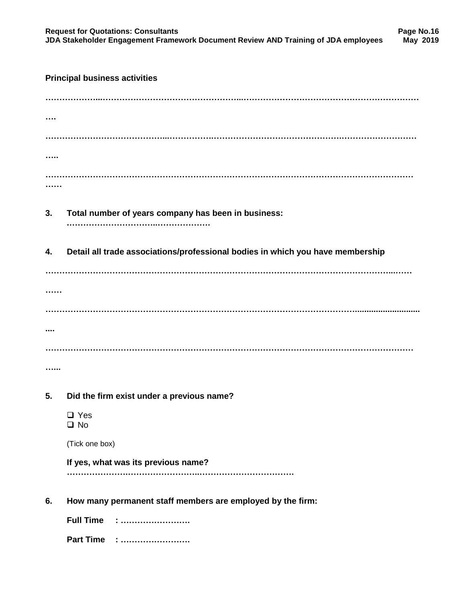# **Principal business activities ………………...…………………………………………...……………………………………………………… …. ……………………………………...…………….……………………………………….……………………… ….. …………………………………………………………………………………………………………………… …… 3. Total number of years company has been in business: .…………………………..………………. 4. Detail all trade associations/professional bodies in which you have membership ……………………………………………………………………………………………………………...…… …… …………………………………………………………………………………………………............................ .... …………………………………………………………………………………………………………………… …... 5. Did the firm exist under a previous name?** □ Yes □ No (Tick one box) **If yes, what was its previous name? ………………….……………………..……………………………. 6. How many permanent staff members are employed by the firm: Full Time : ……………………. Part Time : …………………….**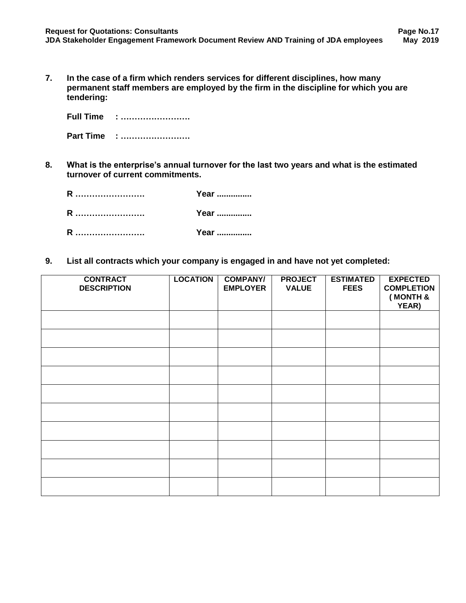**7. In the case of a firm which renders services for different disciplines, how many permanent staff members are employed by the firm in the discipline for which you are tendering:**

| <b>Full Time : </b> |
|---------------------|
| Part Time :         |

**8. What is the enterprise's annual turnover for the last two years and what is the estimated turnover of current commitments.**

| R | Year |
|---|------|
| R | Year |
| R | Year |

**9. List all contracts which your company is engaged in and have not yet completed:**

| <b>CONTRACT</b><br><b>DESCRIPTION</b> | <b>LOCATION</b> | <b>COMPANY/</b><br><b>EMPLOYER</b> | <b>PROJECT</b><br><b>VALUE</b> | <b>ESTIMATED</b><br><b>FEES</b> | <b>EXPECTED</b><br><b>COMPLETION</b><br>(MONTH &<br>YEAR) |
|---------------------------------------|-----------------|------------------------------------|--------------------------------|---------------------------------|-----------------------------------------------------------|
|                                       |                 |                                    |                                |                                 |                                                           |
|                                       |                 |                                    |                                |                                 |                                                           |
|                                       |                 |                                    |                                |                                 |                                                           |
|                                       |                 |                                    |                                |                                 |                                                           |
|                                       |                 |                                    |                                |                                 |                                                           |
|                                       |                 |                                    |                                |                                 |                                                           |
|                                       |                 |                                    |                                |                                 |                                                           |
|                                       |                 |                                    |                                |                                 |                                                           |
|                                       |                 |                                    |                                |                                 |                                                           |
|                                       |                 |                                    |                                |                                 |                                                           |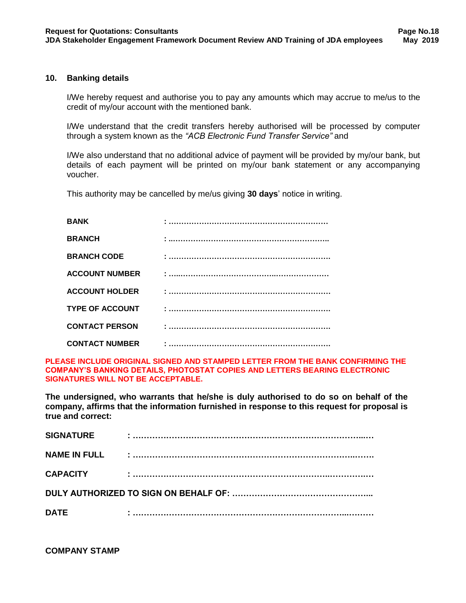#### **10. Banking details**

I/We hereby request and authorise you to pay any amounts which may accrue to me/us to the credit of my/our account with the mentioned bank.

I/We understand that the credit transfers hereby authorised will be processed by computer through a system known as the *"ACB Electronic Fund Transfer Service"* and

I/We also understand that no additional advice of payment will be provided by my/our bank, but details of each payment will be printed on my/our bank statement or any accompanying voucher.

This authority may be cancelled by me/us giving **30 days**' notice in writing.

| <b>BANK</b>            |  |
|------------------------|--|
| <b>BRANCH</b>          |  |
| <b>BRANCH CODE</b>     |  |
| <b>ACCOUNT NUMBER</b>  |  |
| <b>ACCOUNT HOLDER</b>  |  |
| <b>TYPE OF ACCOUNT</b> |  |
| <b>CONTACT PERSON</b>  |  |
| <b>CONTACT NUMBER</b>  |  |

**PLEASE INCLUDE ORIGINAL SIGNED AND STAMPED LETTER FROM THE BANK CONFIRMING THE COMPANY'S BANKING DETAILS, PHOTOSTAT COPIES AND LETTERS BEARING ELECTRONIC SIGNATURES WILL NOT BE ACCEPTABLE.**

**The undersigned, who warrants that he/she is duly authorised to do so on behalf of the company, affirms that the information furnished in response to this request for proposal is true and correct:**

| <b>SIGNATURE</b>    |  |
|---------------------|--|
| <b>NAME IN FULL</b> |  |
| <b>CAPACITY</b>     |  |
|                     |  |
| <b>DATE</b>         |  |

**COMPANY STAMP**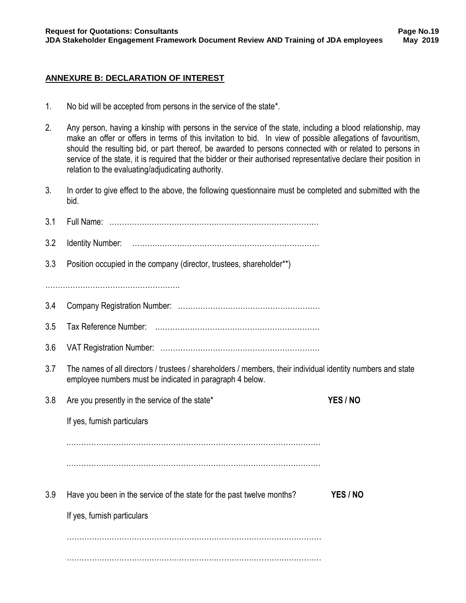# **ANNEXURE B: DECLARATION OF INTEREST**

- 1. No bid will be accepted from persons in the service of the state\*.
- 2. Any person, having a kinship with persons in the service of the state, including a blood relationship, may make an offer or offers in terms of this invitation to bid. In view of possible allegations of favouritism, should the resulting bid, or part thereof, be awarded to persons connected with or related to persons in service of the state, it is required that the bidder or their authorised representative declare their position in relation to the evaluating/adjudicating authority.
- 3. In order to give effect to the above, the following questionnaire must be completed and submitted with the bid.

| 3.1 |                                                                                                                                                                         |          |
|-----|-------------------------------------------------------------------------------------------------------------------------------------------------------------------------|----------|
| 3.2 |                                                                                                                                                                         |          |
| 3.3 | Position occupied in the company (director, trustees, shareholder**)                                                                                                    |          |
|     |                                                                                                                                                                         |          |
| 3.4 |                                                                                                                                                                         |          |
| 3.5 |                                                                                                                                                                         |          |
| 3.6 |                                                                                                                                                                         |          |
| 3.7 | The names of all directors / trustees / shareholders / members, their individual identity numbers and state<br>employee numbers must be indicated in paragraph 4 below. |          |
| 3.8 | Are you presently in the service of the state*                                                                                                                          | YES / NO |
|     | If yes, furnish particulars                                                                                                                                             |          |
|     |                                                                                                                                                                         |          |
|     |                                                                                                                                                                         |          |
| 3.9 | Have you been in the service of the state for the past twelve months?                                                                                                   | YES / NO |
|     | If yes, furnish particulars                                                                                                                                             |          |
|     |                                                                                                                                                                         |          |
|     |                                                                                                                                                                         |          |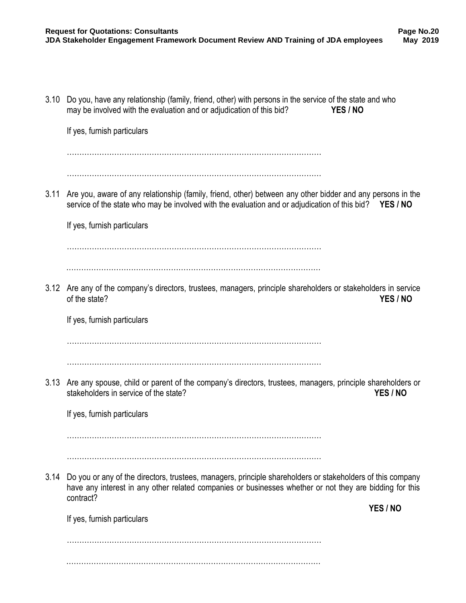3.10 Do you, have any relationship (family, friend, other) with persons in the service of the state and who may be involved with the evaluation and or adjudication of this bid? **YES / NO**

If yes, furnish particulars

………………………………………………………………………………………… . The same state of the state of the state of the state of the state of the state of the state of the state of the state of the state of the state of the state of the state of the state of the state of the state of the st

3.11 Are you, aware of any relationship (family, friend, other) between any other bidder and any persons in the service of the state who may be involved with the evaluation and or adjudication of this bid? **YES / NO**

If yes, furnish particulars

…………………………………………………………………………………………

…………………………………………………………………………………………

3.12 Are any of the company's directors, trustees, managers, principle shareholders or stakeholders in service of the state? **YES / NO**

If yes, furnish particulars

…………………………………………………………………………………………

…………………………………………………………………………………………

3.13 Are any spouse, child or parent of the company's directors, trustees, managers, principle shareholders or stakeholders in service of the state? **YES / NO**

If yes, furnish particulars

…………………………………………………………………………………………

…………………………………………………………………………………………

3.14 Do you or any of the directors, trustees, managers, principle shareholders or stakeholders of this company have any interest in any other related companies or businesses whether or not they are bidding for this contract?

If yes, furnish particulars

**YES / NO**

………………………………………………………………………………………… …………………………………………………………………………………………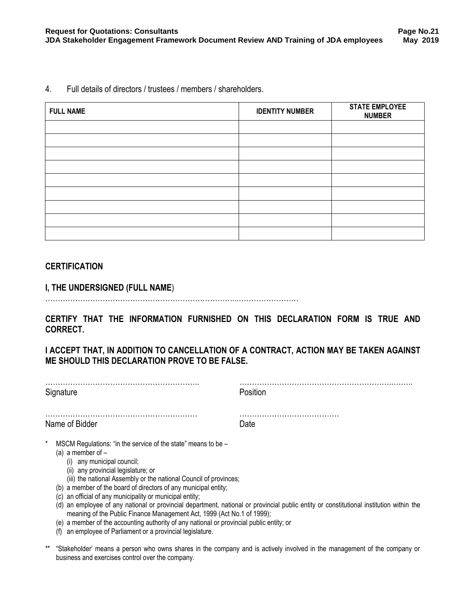4. Full details of directors / trustees / members / shareholders.

| <b>FULL NAME</b> | <b>IDENTITY NUMBER</b> | <b>STATE EMPLOYEE</b><br><b>NUMBER</b> |
|------------------|------------------------|----------------------------------------|
|                  |                        |                                        |
|                  |                        |                                        |
|                  |                        |                                        |
|                  |                        |                                        |
|                  |                        |                                        |
|                  |                        |                                        |
|                  |                        |                                        |
|                  |                        |                                        |
|                  |                        |                                        |

# **CERTIFICATION**

**I, THE UNDERSIGNED (FULL NAME**)

…………………………………………………………………...……………………

**CERTIFY THAT THE INFORMATION FURNISHED ON THIS DECLARATION FORM IS TRUE AND CORRECT.** 

**I ACCEPT THAT, IN ADDITION TO CANCELLATION OF A CONTRACT, ACTION MAY BE TAKEN AGAINST ME SHOULD THIS DECLARATION PROVE TO BE FALSE.** 

| Signature                                                                                                                                                                                                                                                                                                                                                                                                                                                                                                                                                                                                           | Position                                                                                                                            |  |
|---------------------------------------------------------------------------------------------------------------------------------------------------------------------------------------------------------------------------------------------------------------------------------------------------------------------------------------------------------------------------------------------------------------------------------------------------------------------------------------------------------------------------------------------------------------------------------------------------------------------|-------------------------------------------------------------------------------------------------------------------------------------|--|
| Name of Bidder                                                                                                                                                                                                                                                                                                                                                                                                                                                                                                                                                                                                      | Date                                                                                                                                |  |
| *<br>MSCM Regulations: "in the service of the state" means to be -<br>(a) a member of $-$<br>(i) any municipal council;<br>(ii) any provincial legislature; or<br>(iii) the national Assembly or the national Council of provinces;<br>(b) a member of the board of directors of any municipal entity;<br>an official of any municipality or municipal entity;<br>(C)<br>(d)<br>meaning of the Public Finance Management Act, 1999 (Act No.1 of 1999);<br>(e) a member of the accounting authority of any national or provincial public entity; or<br>an employee of Parliament or a provincial legislature.<br>(t) | an employee of any national or provincial department, national or provincial public entity or constitutional institution within the |  |

\*\* "Stakeholder' means a person who owns shares in the company and is actively involved in the management of the company or business and exercises control over the company.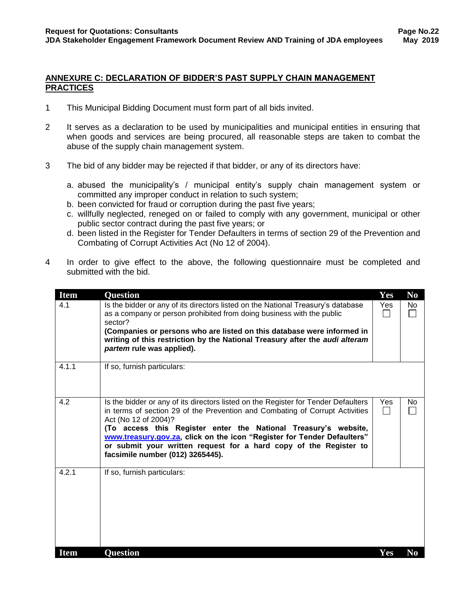#### **ANNEXURE C: DECLARATION OF BIDDER'S PAST SUPPLY CHAIN MANAGEMENT PRACTICES**

- 1 This Municipal Bidding Document must form part of all bids invited.
- 2 It serves as a declaration to be used by municipalities and municipal entities in ensuring that when goods and services are being procured, all reasonable steps are taken to combat the abuse of the supply chain management system.
- 3 The bid of any bidder may be rejected if that bidder, or any of its directors have:
	- a. abused the municipality's / municipal entity's supply chain management system or committed any improper conduct in relation to such system;
	- b. been convicted for fraud or corruption during the past five years;
	- c. willfully neglected, reneged on or failed to comply with any government, municipal or other public sector contract during the past five years; or
	- d. been listed in the Register for Tender Defaulters in terms of section 29 of the Prevention and Combating of Corrupt Activities Act (No 12 of 2004).
- 4 In order to give effect to the above, the following questionnaire must be completed and submitted with the bid.

| <b>Item</b> | <b>Question</b>                                                                                                                                                                                                                                                                                                                                                                                                                                   | Yes | N <sub>0</sub>      |
|-------------|---------------------------------------------------------------------------------------------------------------------------------------------------------------------------------------------------------------------------------------------------------------------------------------------------------------------------------------------------------------------------------------------------------------------------------------------------|-----|---------------------|
| 4.1         | Is the bidder or any of its directors listed on the National Treasury's database<br>as a company or person prohibited from doing business with the public<br>sector?<br>(Companies or persons who are listed on this database were informed in<br>writing of this restriction by the National Treasury after the audi alteram<br>partem rule was applied).                                                                                        | Yes | No.<br>$\mathsf{L}$ |
| 4.1.1       | If so, furnish particulars:                                                                                                                                                                                                                                                                                                                                                                                                                       |     |                     |
| 4.2         | Is the bidder or any of its directors listed on the Register for Tender Defaulters<br>in terms of section 29 of the Prevention and Combating of Corrupt Activities<br>Act (No 12 of 2004)?<br>(To access this Register enter the National Treasury's website,<br>www.treasury.gov.za, click on the icon "Register for Tender Defaulters"<br>or submit your written request for a hard copy of the Register to<br>facsimile number (012) 3265445). | Yes | No.                 |
| 4.2.1       | If so, furnish particulars:                                                                                                                                                                                                                                                                                                                                                                                                                       |     |                     |
| <b>Item</b> | <b>Question</b>                                                                                                                                                                                                                                                                                                                                                                                                                                   | Yes | N <sub>0</sub>      |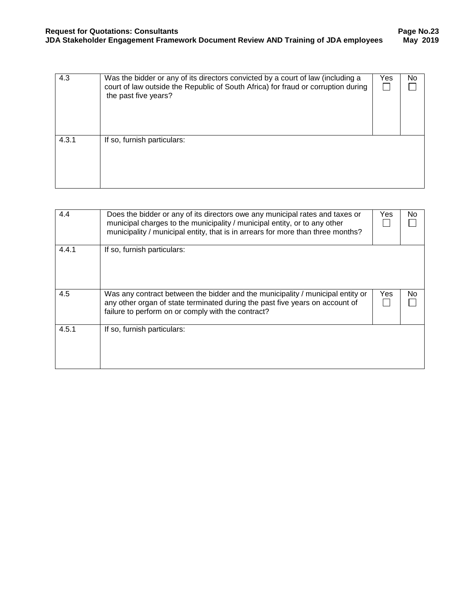| 4.3   | Was the bidder or any of its directors convicted by a court of law (including a<br>court of law outside the Republic of South Africa) for fraud or corruption during<br>the past five years? | Yes | No |
|-------|----------------------------------------------------------------------------------------------------------------------------------------------------------------------------------------------|-----|----|
| 4.3.1 | If so, furnish particulars:                                                                                                                                                                  |     |    |

| 4.4   | Does the bidder or any of its directors owe any municipal rates and taxes or<br>municipal charges to the municipality / municipal entity, or to any other<br>municipality / municipal entity, that is in arrears for more than three months? | Yes | No. |
|-------|----------------------------------------------------------------------------------------------------------------------------------------------------------------------------------------------------------------------------------------------|-----|-----|
| 4.4.1 | If so, furnish particulars:                                                                                                                                                                                                                  |     |     |
| 4.5   | Was any contract between the bidder and the municipality / municipal entity or<br>any other organ of state terminated during the past five years on account of<br>failure to perform on or comply with the contract?                         | Yes | No. |
| 4.5.1 | If so, furnish particulars:                                                                                                                                                                                                                  |     |     |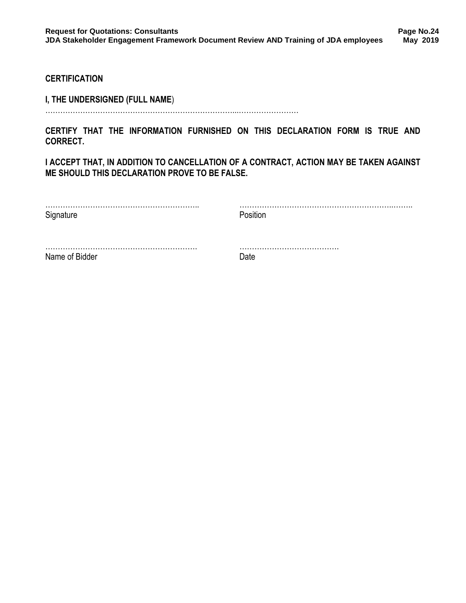**CERTIFICATION**

# **I, THE UNDERSIGNED (FULL NAME**)

…………………………………………………………………...……………………

**CERTIFY THAT THE INFORMATION FURNISHED ON THIS DECLARATION FORM IS TRUE AND CORRECT.** 

**I ACCEPT THAT, IN ADDITION TO CANCELLATION OF A CONTRACT, ACTION MAY BE TAKEN AGAINST ME SHOULD THIS DECLARATION PROVE TO BE FALSE.** 

| Signature      | osition? |
|----------------|----------|
|                |          |
| Name of Bidder | าลte     |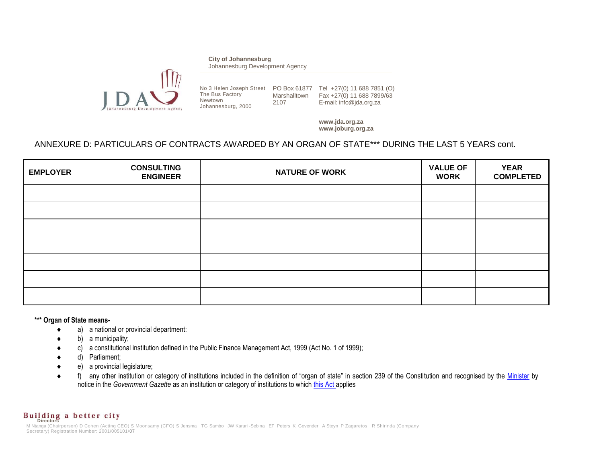

**City of Johannesburg** Johannesburg Development Agency

No 3 Helen Joseph Street PO Box 61877 Tel +27(0) 11 688 7851 (O) The Bus Factory Newtown Johannesburg, 2000 2107

Marshalltown Fax +27(0) 11 688 7899/63 E-mail: info@jda.org.za

> **www.jda.org.za www.joburg.org.za**

# ANNEXURE D: PARTICULARS OF CONTRACTS AWARDED BY AN ORGAN OF STATE\*\*\* DURING THE LAST 5 YEARS cont.

| <b>EMPLOYER</b> | <b>CONSULTING</b><br><b>ENGINEER</b> | <b>NATURE OF WORK</b> | <b>VALUE OF</b><br><b>WORK</b> | <b>YEAR</b><br><b>COMPLETED</b> |
|-----------------|--------------------------------------|-----------------------|--------------------------------|---------------------------------|
|                 |                                      |                       |                                |                                 |
|                 |                                      |                       |                                |                                 |
|                 |                                      |                       |                                |                                 |
|                 |                                      |                       |                                |                                 |
|                 |                                      |                       |                                |                                 |
|                 |                                      |                       |                                |                                 |
|                 |                                      |                       |                                |                                 |

**\*\*\* Organ of State means-**

- a) a national or provincial department:
- b) a municipality;
- c) a constitutional institution defined in the Public Finance Management Act, 1999 (Act No. 1 of 1999);
- d) Parliament;
- e) a provincial legislature;
- ◆ f) any other institution or category of institutions included in the definition of "organ of state" in section 239 of the Constitution and recognised by the [Minister](javascript:void(0);) by notice in the *Government Gazette* as an institution or category of institutions to which [this Act](javascript:void(0);) applies

# **Building a better city**

M Ntanga (Chairperson) D Cohen (Acting CEO) S Moonsamy (CFO) S Jensma TG Sambo JW Karuri -Sebina EF Peters K Govender A Steyn P Zagaretos R Shirinda (Company Secretary) Registration Number: 2001/005101/07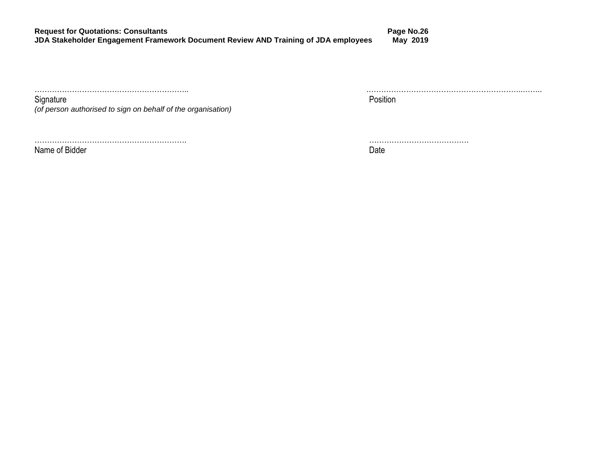| <b>Request for Quotations: Consultants</b>                                         | Page No.26 |
|------------------------------------------------------------------------------------|------------|
| JDA Stakeholder Engagement Framework Document Review AND Training of JDA employees | May 2019   |

Signature **Position** *(of person authorised to sign on behalf of the organisation)*

……………………………………………………. ………………………………….

…………………………………………………….. .……………………………………………………..……..

Name of Bidder Date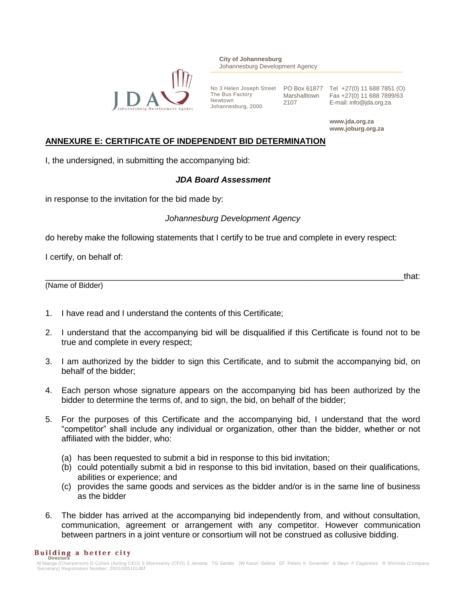

**City of Johannesburg** Johannesburg Development Agency

The Bus Factory Newtown Johannesburg, 2000

Marshalltown 2107

No 3 Helen Joseph Street PO Box 61877 Tel +27(0) 11 688 7851 (O) Fax +27(0) 11 688 7899/63 E-mail: info@jda.org.za

> **www.jda.org.za www.joburg.org.za**

# **ANNEXURE E: CERTIFICATE OF INDEPENDENT BID DETERMINATION**

I, the undersigned, in submitting the accompanying bid:

# *JDA Board Assessment*

in response to the invitation for the bid made by:

#### *Johannesburg Development Agency*

do hereby make the following statements that I certify to be true and complete in every respect:

I certify, on behalf of:

(Name of Bidder)

\_\_\_\_\_\_\_\_\_\_\_\_\_\_\_\_\_\_\_\_\_\_\_\_\_\_\_\_\_\_\_\_\_\_\_\_\_\_\_\_\_\_\_\_\_\_\_\_\_\_\_\_\_\_\_\_\_\_\_\_\_\_\_\_\_\_\_\_\_\_\_\_\_\_\_\_\_that:

- 1. I have read and I understand the contents of this Certificate;
- 2. I understand that the accompanying bid will be disqualified if this Certificate is found not to be true and complete in every respect;
- 3. I am authorized by the bidder to sign this Certificate, and to submit the accompanying bid, on behalf of the bidder;
- 4. Each person whose signature appears on the accompanying bid has been authorized by the bidder to determine the terms of, and to sign, the bid, on behalf of the bidder;
- 5. For the purposes of this Certificate and the accompanying bid, I understand that the word "competitor" shall include any individual or organization, other than the bidder, whether or not affiliated with the bidder, who:
	- (a) has been requested to submit a bid in response to this bid invitation;
	- (b) could potentially submit a bid in response to this bid invitation, based on their qualifications, abilities or experience; and
	- (c) provides the same goods and services as the bidder and/or is in the same line of business as the bidder
- 6. The bidder has arrived at the accompanying bid independently from, and without consultation, communication, agreement or arrangement with any competitor. However communication between partners in a joint venture or consortium will not be construed as collusive bidding.

**Building a better city**